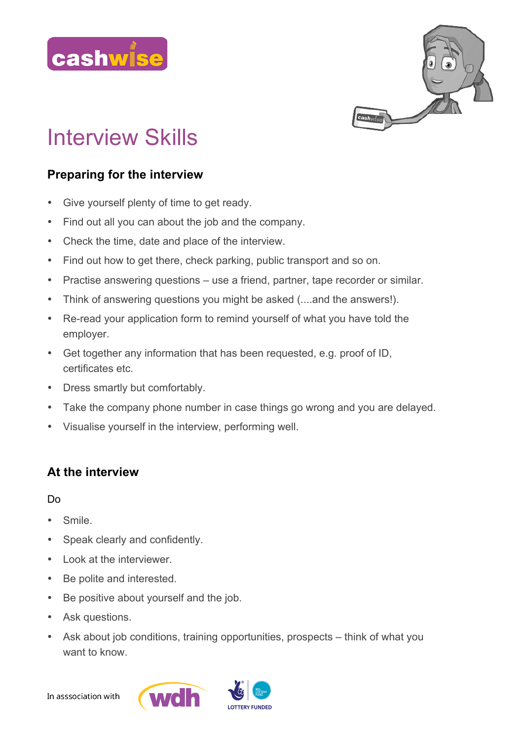



# Interview Skills

# **Preparing for the interview**

- Give yourself plenty of time to get ready.
- Find out all you can about the job and the company.
- Check the time, date and place of the interview.
- Find out how to get there, check parking, public transport and so on.
- Practise answering questions use a friend, partner, tape recorder or similar.
- Think of answering questions you might be asked (....and the answers!).
- Re-read your application form to remind yourself of what you have told the employer.
- Get together any information that has been requested, e.g. proof of ID, certificates etc.
- Dress smartly but comfortably.
- Take the company phone number in case things go wrong and you are delayed.
- Visualise yourself in the interview, performing well.

## **At the interview**

Do

- Smile.
- Speak clearly and confidently.
- Look at the interviewer.
- Be polite and interested.
- Be positive about yourself and the job.
- Ask questions.
- Ask about job conditions, training opportunities, prospects think of what you want to know

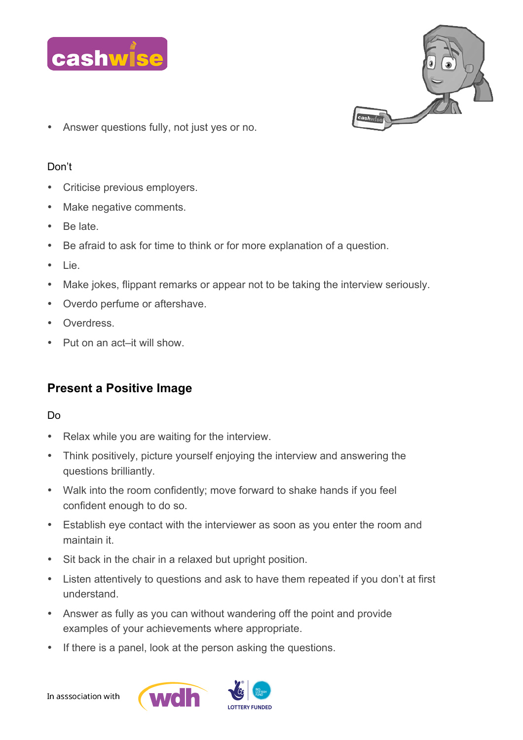



• Answer questions fully, not just yes or no.

### Don't

- Criticise previous employers.
- Make negative comments.
- Be late.
- Be afraid to ask for time to think or for more explanation of a question.
- Lie.
- Make jokes, flippant remarks or appear not to be taking the interview seriously.
- Overdo perfume or aftershave.
- **Overdress**
- Put on an act–it will show.

# **Present a Positive Image**

#### Do

- Relax while you are waiting for the interview.
- Think positively, picture yourself enjoying the interview and answering the questions brilliantly.
- Walk into the room confidently; move forward to shake hands if you feel confident enough to do so.
- Establish eye contact with the interviewer as soon as you enter the room and maintain it.
- Sit back in the chair in a relaxed but upright position.
- Listen attentively to questions and ask to have them repeated if you don't at first understand.
- Answer as fully as you can without wandering off the point and provide examples of your achievements where appropriate.
- If there is a panel, look at the person asking the questions.



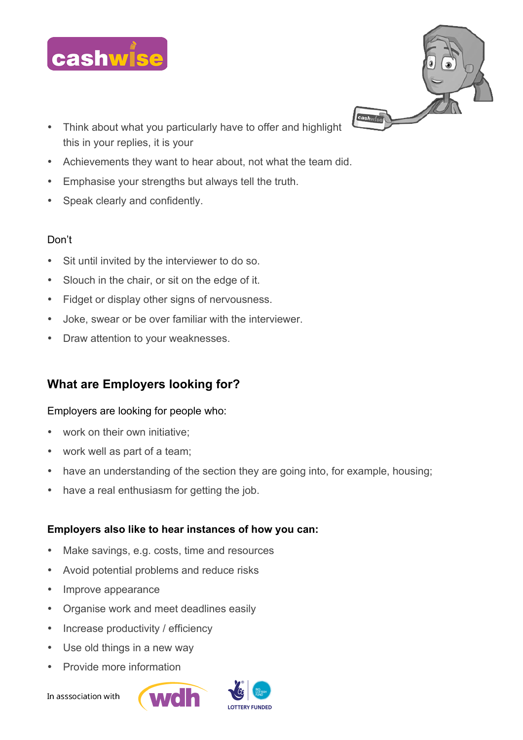



- Think about what you particularly have to offer and highlight this in your replies, it is your
- Achievements they want to hear about, not what the team did.
- Emphasise your strengths but always tell the truth.
- Speak clearly and confidently.

## Don't

- Sit until invited by the interviewer to do so.
- Slouch in the chair, or sit on the edge of it.
- Fidget or display other signs of nervousness.
- Joke, swear or be over familiar with the interviewer.
- Draw attention to your weaknesses.

# **What are Employers looking for?**

## Employers are looking for people who:

- work on their own initiative:
- work well as part of a team;
- have an understanding of the section they are going into, for example, housing;
- have a real enthusiasm for getting the job.

## **Employers also like to hear instances of how you can:**

- Make savings, e.g. costs, time and resources
- Avoid potential problems and reduce risks
- Improve appearance
- Organise work and meet deadlines easily
- Increase productivity / efficiency
- Use old things in a new way
- Provide more information